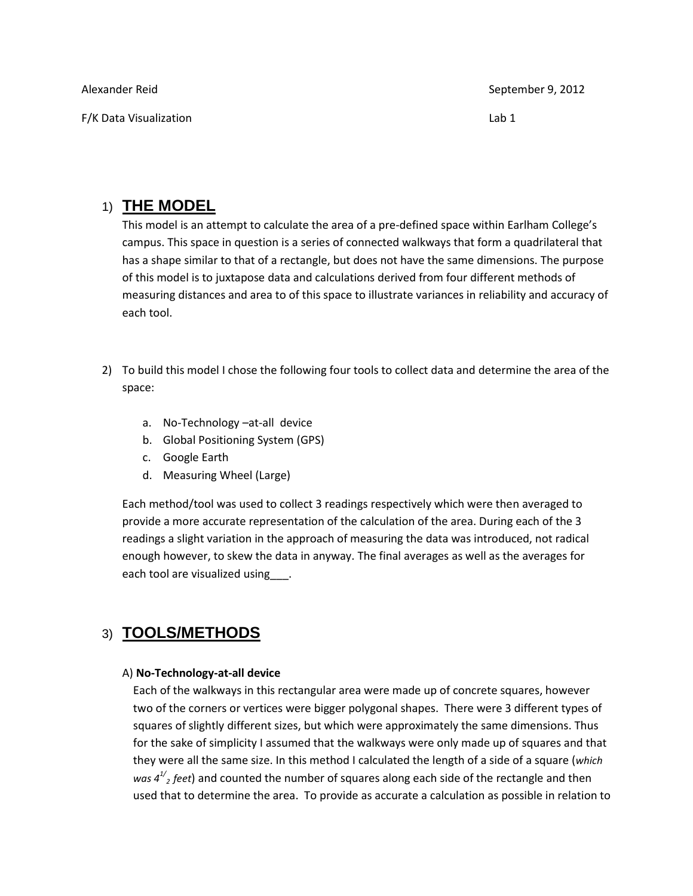| Alexander Reid         | September 9, 2012 |
|------------------------|-------------------|
| F/K Data Visualization | Lab 1             |

# 1) **THE MODEL**

This model is an attempt to calculate the area of a pre-defined space within Earlham College's campus. This space in question is a series of connected walkways that form a quadrilateral that has a shape similar to that of a rectangle, but does not have the same dimensions. The purpose of this model is to juxtapose data and calculations derived from four different methods of measuring distances and area to of this space to illustrate variances in reliability and accuracy of each tool.

- 2) To build this model I chose the following four tools to collect data and determine the area of the space:
	- a. No-Technology –at-all device
	- b. Global Positioning System (GPS)
	- c. Google Earth
	- d. Measuring Wheel (Large)

Each method/tool was used to collect 3 readings respectively which were then averaged to provide a more accurate representation of the calculation of the area. During each of the 3 readings a slight variation in the approach of measuring the data was introduced, not radical enough however, to skew the data in anyway. The final averages as well as the averages for each tool are visualized using .

# 3) **TOOLS/METHODS**

#### A) **No-Technology-at-all device**

Each of the walkways in this rectangular area were made up of concrete squares, however two of the corners or vertices were bigger polygonal shapes. There were 3 different types of squares of slightly different sizes, but which were approximately the same dimensions. Thus for the sake of simplicity I assumed that the walkways were only made up of squares and that they were all the same size. In this method I calculated the length of a side of a square (*which*  was  $4^{1/2}$  *feet*) and counted the number of squares along each side of the rectangle and then used that to determine the area. To provide as accurate a calculation as possible in relation to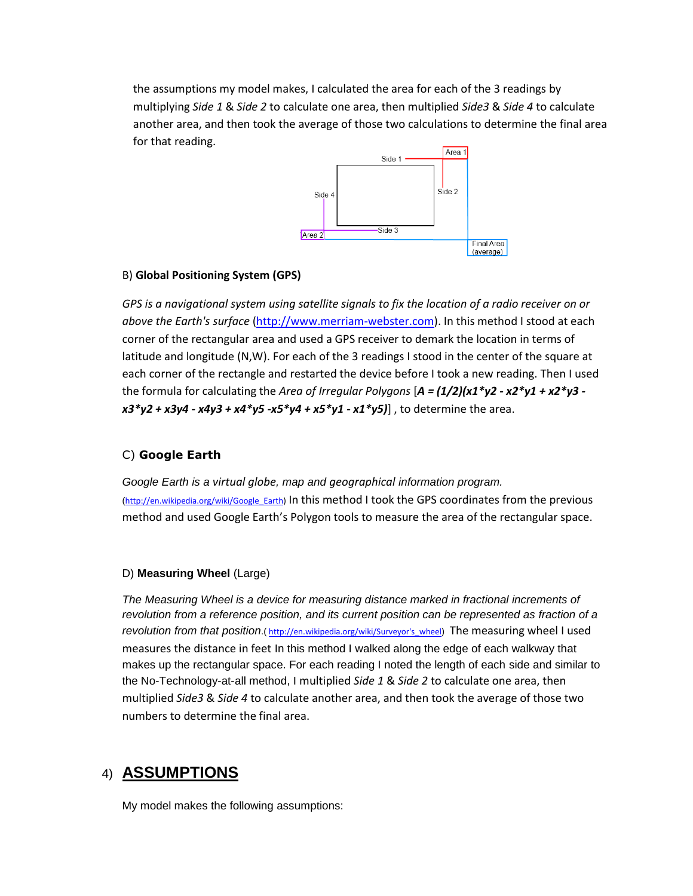the assumptions my model makes, I calculated the area for each of the 3 readings by multiplying *Side 1* & *Side 2* to calculate one area, then multiplied *Side3* & *Side 4* to calculate another area, and then took the average of those two calculations to determine the final area for that reading.



#### B) **Global Positioning System (GPS)**

*GPS is a navigational system using satellite signals to fix the location of a radio receiver on or above the Earth's surface* [\(http://www.merriam-webster.com\)](http://www.merriam-webster.com/). In this method I stood at each corner of the rectangular area and used a GPS receiver to demark the location in terms of latitude and longitude (N,W). For each of the 3 readings I stood in the center of the square at each corner of the rectangle and restarted the device before I took a new reading. Then I used the formula for calculating the *Area of Irregular Polygons* [*A = (1/2)(x1\*y2 - x2\*y1 + x2\*y3 x3\*y2 + x3y4 - x4y3 + x4\*y5 -x5\*y4 + x5\*y1 - x1\*y5)*] , to determine the area.

## C) **Google Earth**

*Google Earth is a virtual globe, map and geographical information program.* ([http://en.wikipedia.org/wiki/Google\\_Earth\)](http://en.wikipedia.org/wiki/Google_Earth) In this method I took the GPS coordinates from the previous method and used Google Earth's Polygon tools to measure the area of the rectangular space.

#### D) **Measuring Wheel** (Large)

*The Measuring Wheel is a device for measuring distance marked in fractional increments of revolution from a reference position, and its current position can be represented as fraction of a revolution from that position*.( http://en.wikipedia.org/wiki/Surveyor's wheel) The measuring wheel I used measures the distance in feet In this method I walked along the edge of each walkway that makes up the rectangular space. For each reading I noted the length of each side and similar to the No-Technology-at-all method, I multiplied *Side 1* & *Side 2* to calculate one area, then multiplied *Side3* & *Side 4* to calculate another area, and then took the average of those two numbers to determine the final area.

# 4) **ASSUMPTIONS**

My model makes the following assumptions: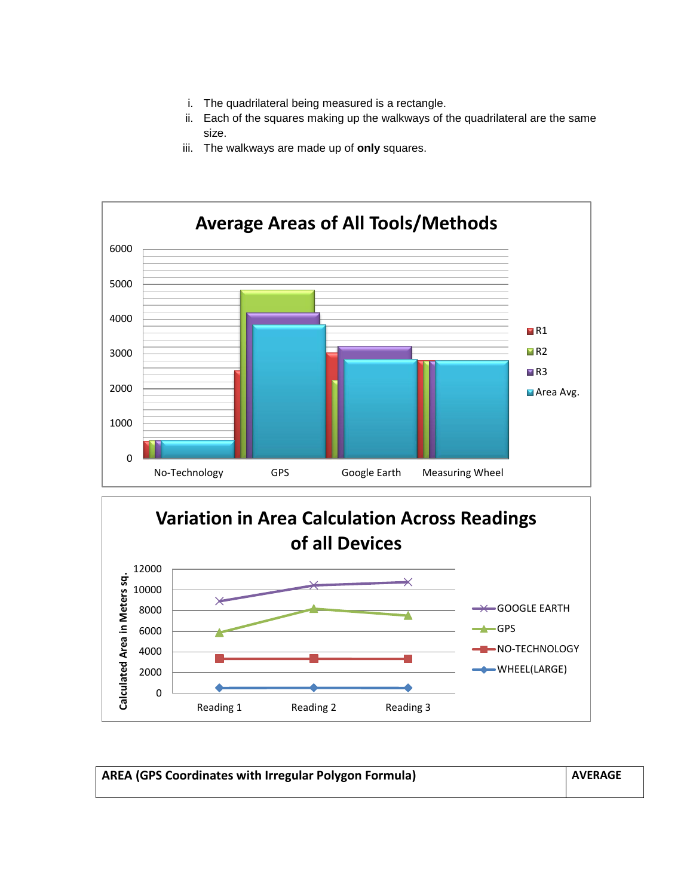- i. The quadrilateral being measured is a rectangle.
- ii. Each of the squares making up the walkways of the quadrilateral are the same size.
- iii. The walkways are made up of **only** squares.





| <b>AREA (GPS Coordinates with Irregular Polygon Formula)</b> | <b>AVERAGE</b> |
|--------------------------------------------------------------|----------------|
|                                                              |                |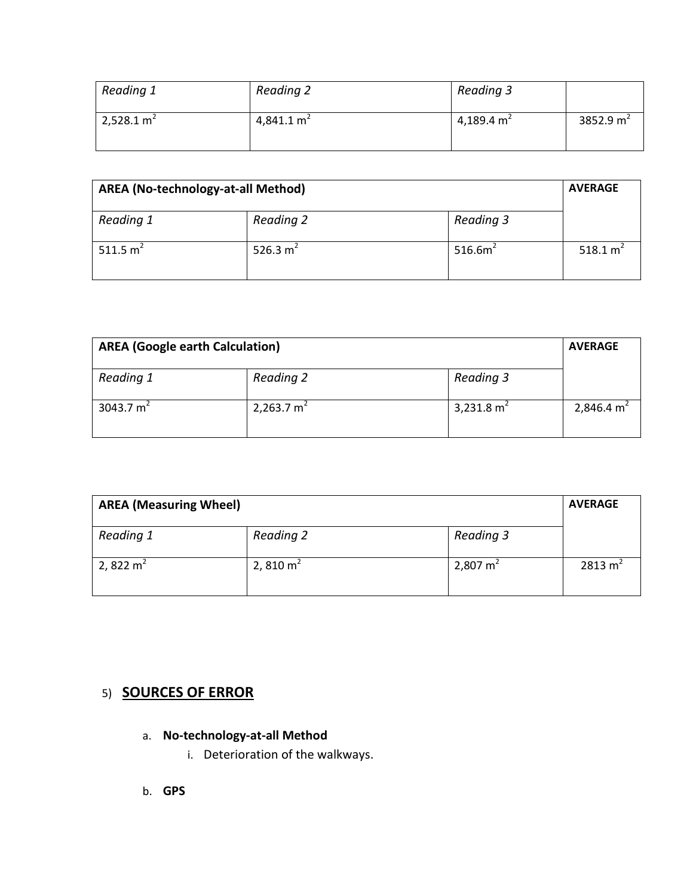| Reading 1              | Reading 2    | Reading 3              |             |
|------------------------|--------------|------------------------|-------------|
| 2,528.1 m <sup>2</sup> | 4,841.1 $m2$ | 4,189.4 m <sup>2</sup> | 3852.9 $m2$ |

| AREA (No-technology-at-all Method) |            |                     | <b>AVERAGE</b> |
|------------------------------------|------------|---------------------|----------------|
| Reading 1                          | Reading 2  | Reading 3           |                |
| 511.5 $m^2$                        | 526.3 $m2$ | 516.6m <sup>2</sup> | 518.1 $m2$     |

| <b>AREA (Google earth Calculation)</b> |              |              | <b>AVERAGE</b> |
|----------------------------------------|--------------|--------------|----------------|
| Reading 1                              | Reading 2    | Reading 3    |                |
| 3043.7 $m2$                            | 2,263.7 $m2$ | 3,231.8 $m2$ | 2,846.4 $m2$   |

| <b>AREA (Measuring Wheel)</b> |             |                     | <b>AVERAGE</b>     |
|-------------------------------|-------------|---------------------|--------------------|
| Reading 1                     | Reading 2   | Reading 3           |                    |
| 2, 822 m <sup>2</sup>         | 2, 810 $m2$ | $2,807 \text{ m}^2$ | $2813 \text{ m}^2$ |

# 5) **SOURCES OF ERROR**

- a. **No-technology-at-all Method**
	- i. Deterioration of the walkways.
- b. **GPS**